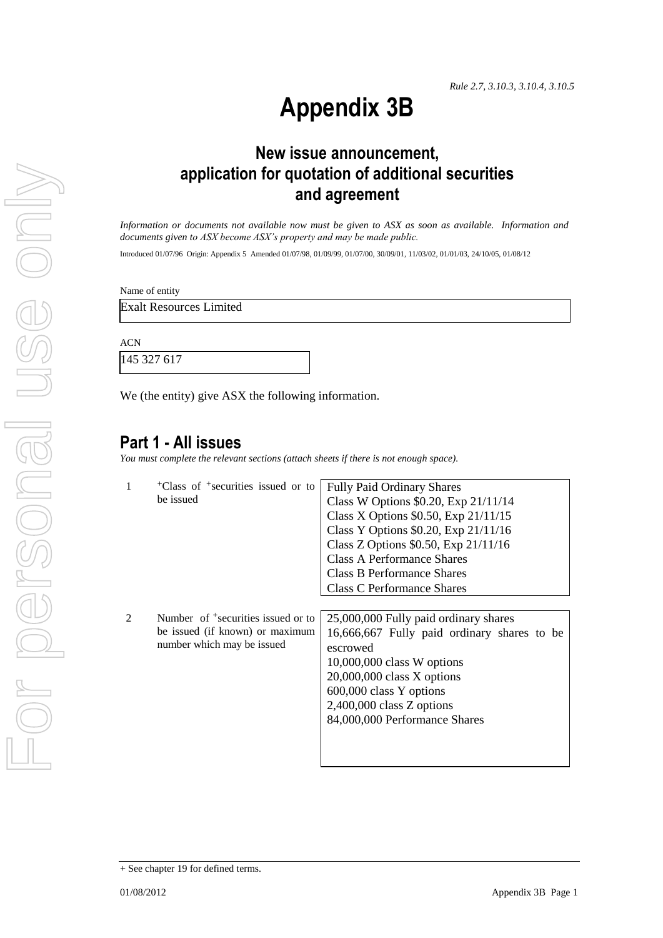# **Appendix 3B**

# **New issue announcement, application for quotation of additional securities and agreement**

*Information or documents not available now must be given to ASX as soon as available. Information and documents given to ASX become ASX's property and may be made public.*

Introduced 01/07/96 Origin: Appendix 5 Amended 01/07/98, 01/09/99, 01/07/00, 30/09/01, 11/03/02, 01/01/03, 24/10/05, 01/08/12

Name of entity

Exalt Resources Limited

ACN

145 327 617

We (the entity) give ASX the following information.

#### **Part 1 - All issues**

*You must complete the relevant sections (attach sheets if there is not enough space).*

|                | <sup>+</sup> Class of <sup>+</sup> securities issued or to    | <b>Fully Paid Ordinary Shares</b>           |
|----------------|---------------------------------------------------------------|---------------------------------------------|
|                | be issued                                                     | Class W Options \$0.20, Exp 21/11/14        |
|                |                                                               | Class X Options $$0.50$ , Exp $21/11/15$    |
|                |                                                               | Class Y Options \$0.20, Exp 21/11/16        |
|                |                                                               | Class Z Options \$0.50, Exp 21/11/16        |
|                |                                                               | <b>Class A Performance Shares</b>           |
|                |                                                               | <b>Class B Performance Shares</b>           |
|                |                                                               | <b>Class C Performance Shares</b>           |
|                |                                                               |                                             |
| $\mathfrak{D}$ | Number of <sup>+</sup> securities issued or to                | 25,000,000 Fully paid ordinary shares       |
|                | be issued (if known) or maximum<br>number which may be issued | 16,666,667 Fully paid ordinary shares to be |
|                |                                                               | escrowed                                    |
|                |                                                               | $10,000,000$ class W options                |
|                |                                                               | $20,000,000$ class X options                |
|                |                                                               | 600,000 class Y options                     |
|                |                                                               | $2,400,000$ class Z options                 |
|                |                                                               | 84,000,000 Performance Shares               |
|                |                                                               |                                             |
|                |                                                               |                                             |
|                |                                                               |                                             |

<sup>+</sup> See chapter 19 for defined terms.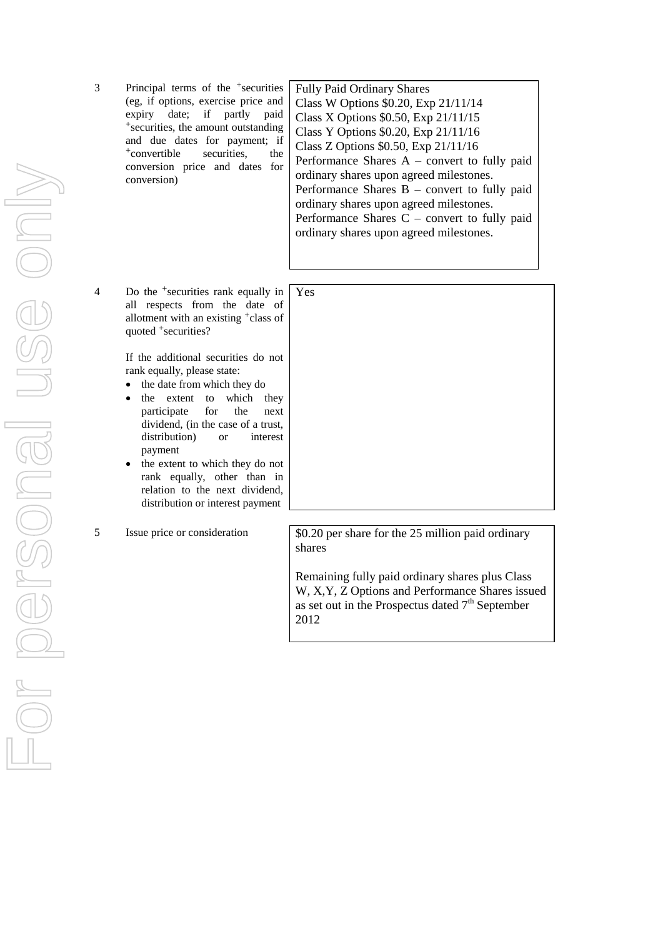3 Principal terms of the +securities (eg, if options, exercise price and expiry date; if partly paid +securities, the amount outstanding and due dates for payment; if +convertible securities, the conversion price and dates for conversion)

4 Do the +securities rank equally in all respects from the date of allotment with an existing +class of quoted +securities?

> If the additional securities do not rank equally, please state:

- the date from which they do
- the extent to which they participate for the next dividend, (in the case of a trust, distribution) or interest payment
- the extent to which they do not rank equally, other than in relation to the next dividend, distribution or interest payment

Fully Paid Ordinary Shares Class W Options \$0.20, Exp 21/11/14 Class X Options \$0.50, Exp 21/11/15 Class Y Options \$0.20, Exp 21/11/16 Class Z Options \$0.50, Exp 21/11/16 Performance Shares A – convert to fully paid ordinary shares upon agreed milestones. Performance Shares B – convert to fully paid ordinary shares upon agreed milestones. Performance Shares C – convert to fully paid ordinary shares upon agreed milestones.

| Yes |  |  |  |
|-----|--|--|--|
|     |  |  |  |
|     |  |  |  |
|     |  |  |  |
|     |  |  |  |
|     |  |  |  |
|     |  |  |  |
|     |  |  |  |
|     |  |  |  |
|     |  |  |  |
|     |  |  |  |
|     |  |  |  |
|     |  |  |  |

5 Issue price or consideration  $\sqrt{\frac{0.20 \text{ per share}}{0.20 \text{ per share}}}$  for the 25 million paid ordinary shares

> Remaining fully paid ordinary shares plus Class W, X,Y, Z Options and Performance Shares issued as set out in the Prospectus dated  $7<sup>th</sup>$  September 2012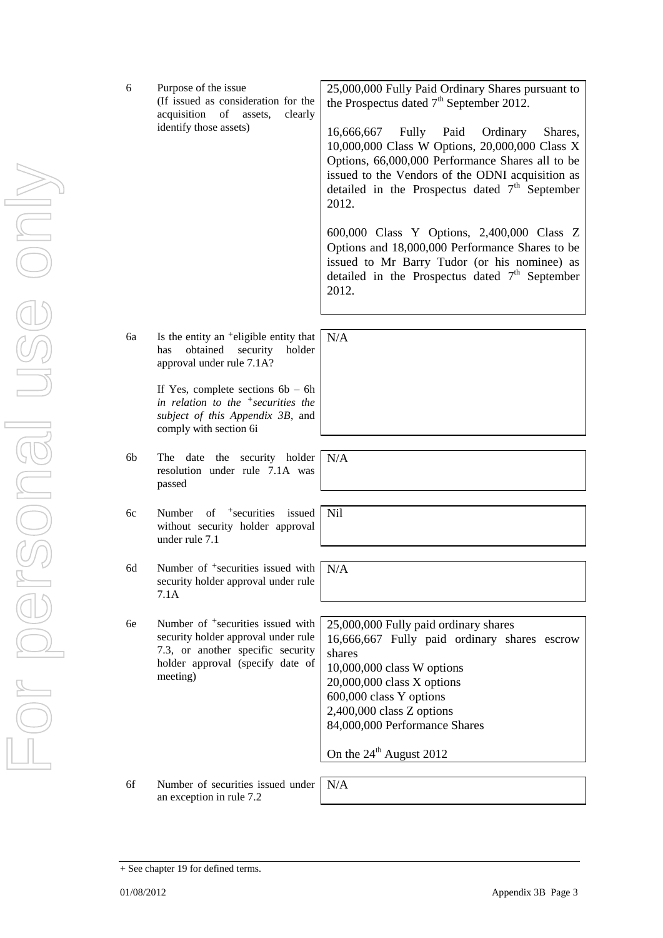(If issued as consideration for the acquisition of assets, clearly

identify those assets)

25,000,000 Fully Paid Ordinary Shares pursuant to the Prospectus dated  $7<sup>th</sup>$  September 2012.

16,666,667 Fully Paid Ordinary Shares, 10,000,000 Class W Options, 20,000,000 Class X Options, 66,000,000 Performance Shares all to be issued to the Vendors of the ODNI acquisition as detailed in the Prospectus dated  $7<sup>th</sup>$  September 2012.

600,000 Class Y Options, 2,400,000 Class Z Options and 18,000,000 Performance Shares to be issued to Mr Barry Tudor (or his nominee) as detailed in the Prospectus dated  $7<sup>th</sup>$  September

+ See chapter 19 for defined terms.

6 Purpose of the issue

USG ONN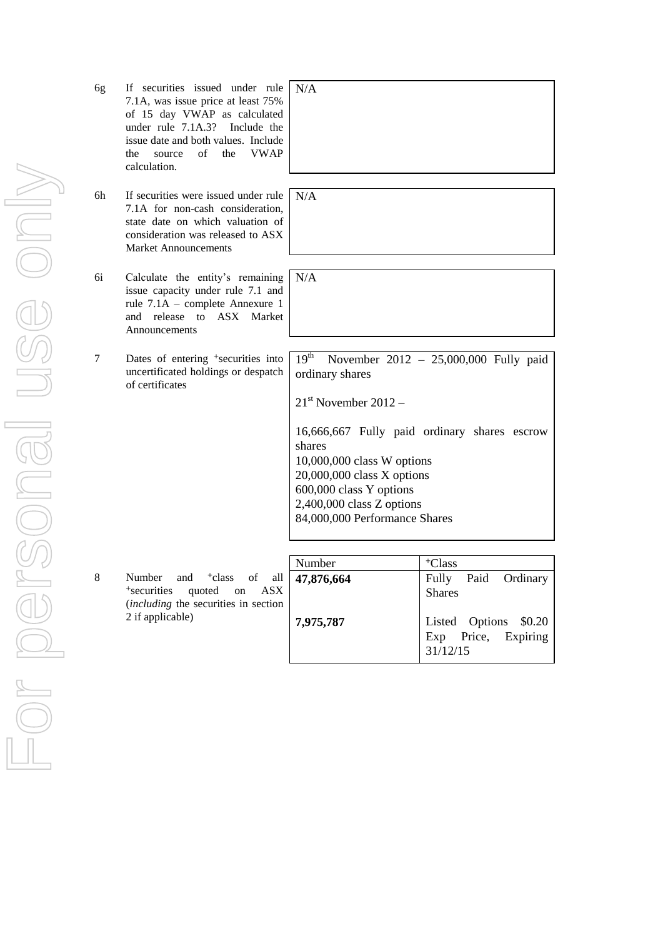| 6g | If securities issued under rule<br>7.1A, was issue price at least 75%<br>of 15 day VWAP as calculated<br>under rule $7.1A.3?$<br>Include the<br>issue date and both values. Include<br><b>VWAP</b><br>of<br>the<br>source<br>the<br>calculation. | N/A                                                                      |
|----|--------------------------------------------------------------------------------------------------------------------------------------------------------------------------------------------------------------------------------------------------|--------------------------------------------------------------------------|
| 6h | If securities were issued under rule<br>7.1A for non-cash consideration,<br>state date on which valuation of<br>consideration was released to ASX<br><b>Market Announcements</b>                                                                 | N/A                                                                      |
| 6i | Calculate the entity's remaining<br>issue capacity under rule 7.1 and<br>rule 7.1A - complete Annexure 1<br>ASX Market<br>and release to<br>Announcements                                                                                        | N/A                                                                      |
| 7  | Dates of entering <sup>+</sup> securities into<br>uncertificated holdings or despatch<br>of certificates                                                                                                                                         | 19 <sup>th</sup><br>$\mathbb{N}$<br>ordinary<br>$21st$ Nov               |
|    |                                                                                                                                                                                                                                                  | 16,666,<br>shares<br>10,000,<br>20,000,<br>600,000<br>2,400,0<br>84,000, |
| 8  | and <sup>+</sup> class of all<br>Number<br><sup>+</sup> securities<br>quoted<br>ASX<br>on<br>(including the securities in section<br>2 if applicable)                                                                                            | Number<br>47,876,<br>7,975,7                                             |
|    |                                                                                                                                                                                                                                                  |                                                                          |

| N/A |  |  |  |
|-----|--|--|--|
|     |  |  |  |
|     |  |  |  |
|     |  |  |  |
|     |  |  |  |
| N/A |  |  |  |
|     |  |  |  |

November  $2012 - 25,000,000$  Fully paid y shares vember  $2012 -$ 

16,666,667 Fully paid ordinary shares escrow 000 class W options  $000$  class X options 600,000 class Y options 2,400,000 class Z options 000 Performance Shares

**47,876,664 7,975,787**

| Number     | <sup>+</sup> Class                                       |
|------------|----------------------------------------------------------|
| 47,876,664 | Fully<br>Paid Ordinary<br><b>Shares</b>                  |
| 7,975,787  | Listed Options \$0.20<br>Exp Price, Expiring<br>31/12/15 |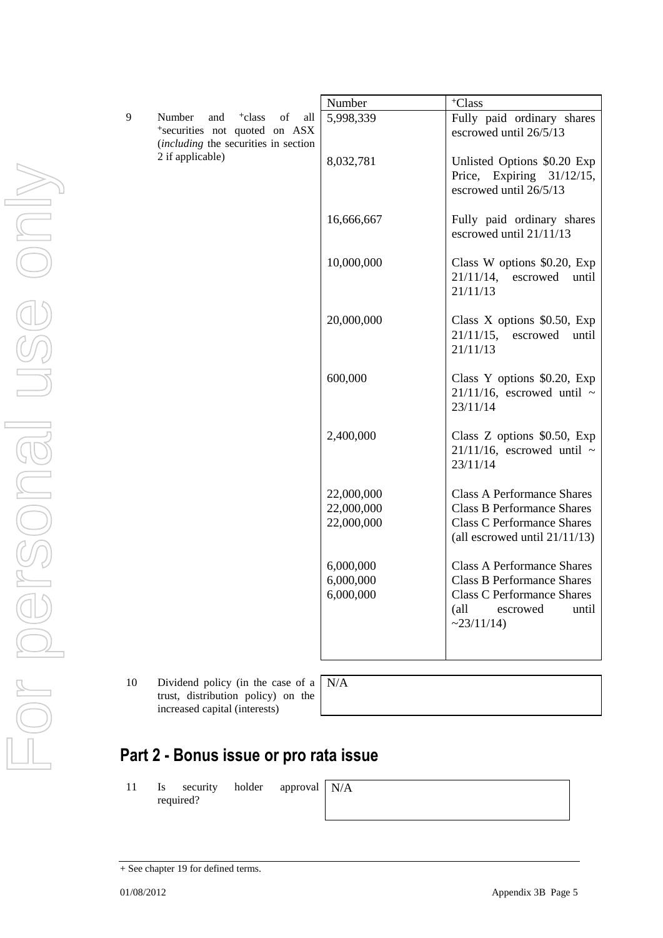|    |                                                                                                                           | Number     | <sup>+</sup> Class                                                                   |
|----|---------------------------------------------------------------------------------------------------------------------------|------------|--------------------------------------------------------------------------------------|
| 9  | <sup>+</sup> class<br>Number<br>and<br>of<br>all<br>*securities not quoted on ASX<br>(including the securities in section | 5,998,339  | Fully paid ordinary shares<br>escrowed until 26/5/13                                 |
|    | 2 if applicable)                                                                                                          | 8,032,781  | Unlisted Options \$0.20 Exp<br>Price, Expiring 31/12/15,<br>escrowed until 26/5/13   |
|    |                                                                                                                           | 16,666,667 | Fully paid ordinary shares<br>escrowed until 21/11/13                                |
|    |                                                                                                                           | 10,000,000 | Class W options \$0.20, Exp<br>21/11/14,<br>escrowed<br>until<br>21/11/13            |
|    |                                                                                                                           | 20,000,000 | Class $X$ options \$0.50, Exp<br>$21/11/15$ , escrowed<br>until<br>21/11/13          |
|    |                                                                                                                           | 600,000    | Class Y options \$0.20, Exp<br>$21/11/16$ , escrowed until ~<br>23/11/14             |
|    |                                                                                                                           | 2,400,000  | Class Z options \$0.50, Exp<br>$21/11/16$ , escrowed until ~<br>23/11/14             |
|    |                                                                                                                           | 22,000,000 | <b>Class A Performance Shares</b>                                                    |
|    |                                                                                                                           | 22,000,000 | <b>Class B Performance Shares</b>                                                    |
|    |                                                                                                                           | 22,000,000 | <b>Class C Performance Shares</b><br>(all escrowed until $21/11/13$ )                |
|    |                                                                                                                           | 6,000,000  | <b>Class A Performance Shares</b>                                                    |
|    |                                                                                                                           | 6,000,000  | <b>Class B Performance Shares</b>                                                    |
|    |                                                                                                                           | 6,000,000  | <b>Class C Performance Shares</b><br>$\text{all}$<br>escrowed<br>until<br>~23/11/14) |
|    |                                                                                                                           |            |                                                                                      |
| 10 | Dividend policy (in the case of a<br>trust, distribution policy) on the                                                   | N/A        |                                                                                      |
|    | increased capital (interests)                                                                                             |            |                                                                                      |

# **Part 2 - Bonus issue or pro rata issue**

11 Is security holder approval required?

N/A

For personal use only USG ONI 

<sup>+</sup> See chapter 19 for defined terms.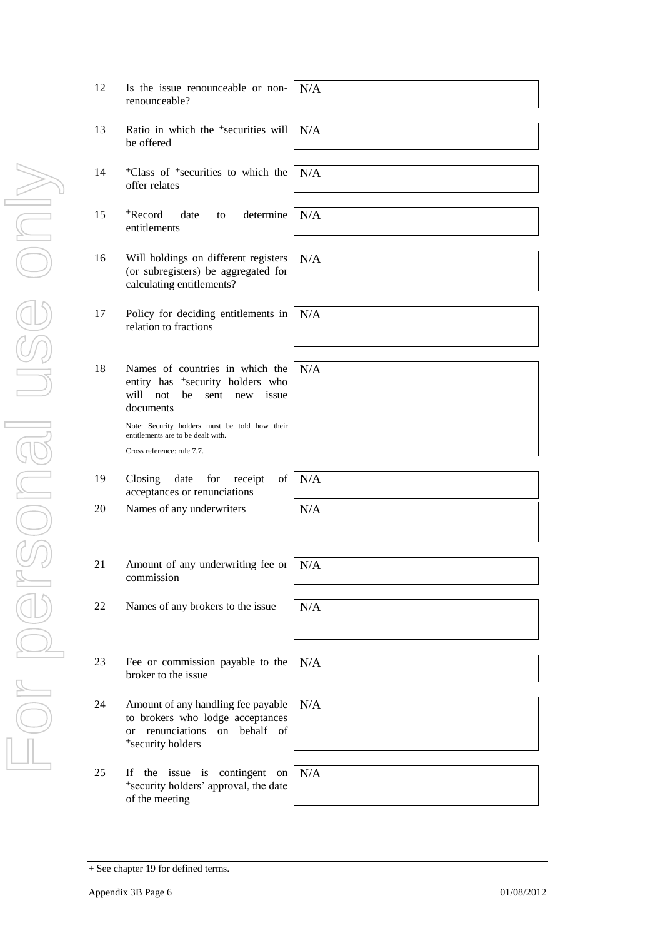| 12 | Is the issue renounceable or non-<br>renounceable?                                                                                               | N/A |
|----|--------------------------------------------------------------------------------------------------------------------------------------------------|-----|
| 13 | Ratio in which the <sup>+</sup> securities will<br>be offered                                                                                    | N/A |
| 14 | <sup>+</sup> Class of <sup>+</sup> securities to which the<br>offer relates                                                                      | N/A |
| 15 | determine<br><sup>+</sup> Record<br>date<br>to<br>entitlements                                                                                   | N/A |
| 16 | Will holdings on different registers<br>(or subregisters) be aggregated for<br>calculating entitlements?                                         | N/A |
| 17 | Policy for deciding entitlements in<br>relation to fractions                                                                                     | N/A |
| 18 | Names of countries in which the<br>entity has <sup>+</sup> security holders who<br>will not<br>be<br>sent<br>issue<br>new<br>documents           | N/A |
|    | Note: Security holders must be told how their<br>entitlements are to be dealt with.<br>Cross reference: rule 7.7.                                |     |
|    |                                                                                                                                                  |     |
| 19 | for<br>of<br>Closing<br>date<br>receipt<br>acceptances or renunciations                                                                          | N/A |
| 20 | Names of any underwriters                                                                                                                        | N/A |
|    |                                                                                                                                                  |     |
| 21 | Amount of any underwriting fee or<br>commission                                                                                                  | N/A |
| 22 | Names of any brokers to the issue                                                                                                                | N/A |
|    |                                                                                                                                                  |     |
| 23 | Fee or commission payable to the<br>broker to the issue                                                                                          | N/A |
| 24 | Amount of any handling fee payable<br>to brokers who lodge acceptances<br>renunciations<br>behalf of<br>on<br><sub>or</sub><br>*security holders | N/A |
| 25 | If the issue is contingent on                                                                                                                    | N/A |
|    | *security holders' approval, the date<br>of the meeting                                                                                          |     |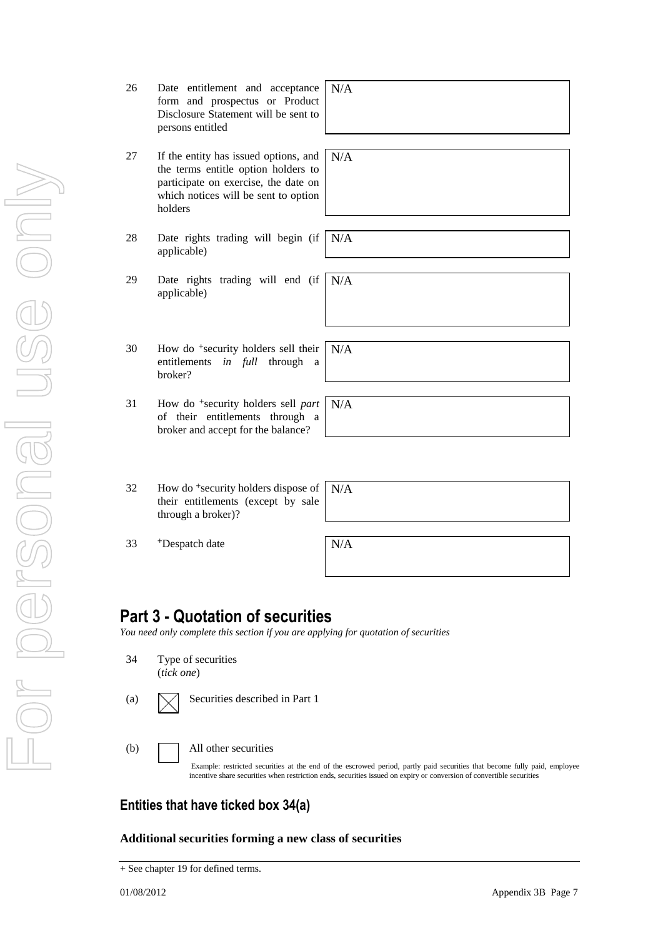- For personal use only VILOS PORCONEL USE ON
- 26 Date entitlement and acceptance form and prospectus or Product Disclosure Statement will be sent to persons entitled
- 27 If the entity has issued options, and the terms entitle option holders to participate on exercise, the date on which notices will be sent to option holders
- 28 Date rights trading will begin (if applicable)
- 29 Date rights trading will end (if applicable) N/A
- 30 How do <sup>+</sup>security holders sell their entitlements *in full* through a broker?
- 31 How do <sup>+</sup>security holders sell *part* of their entitlements through a broker and accept for the balance?
- 32 How do <sup>+</sup>security holders dispose of their entitlements (except by sale through a broker)?

 $33$  +Despatch date  $N/A$ 

N/A

## **Part 3 - Quotation of securities**

*You need only complete this section if you are applying for quotation of securities*

- 34 Type of securities (*tick one*)
- (a)  $\sqrt{\phantom{a}}$  Securities described in Part 1
- (b) All other securities

Example: restricted securities at the end of the escrowed period, partly paid securities that become fully paid, employee incentive share securities when restriction ends, securities issued on expiry or conversion of convertible securities

#### **Entities that have ticked box 34(a)**

**Additional securities forming a new class of securities**

# N/A

N/A

N/A

N/A

N/A

<sup>+</sup> See chapter 19 for defined terms.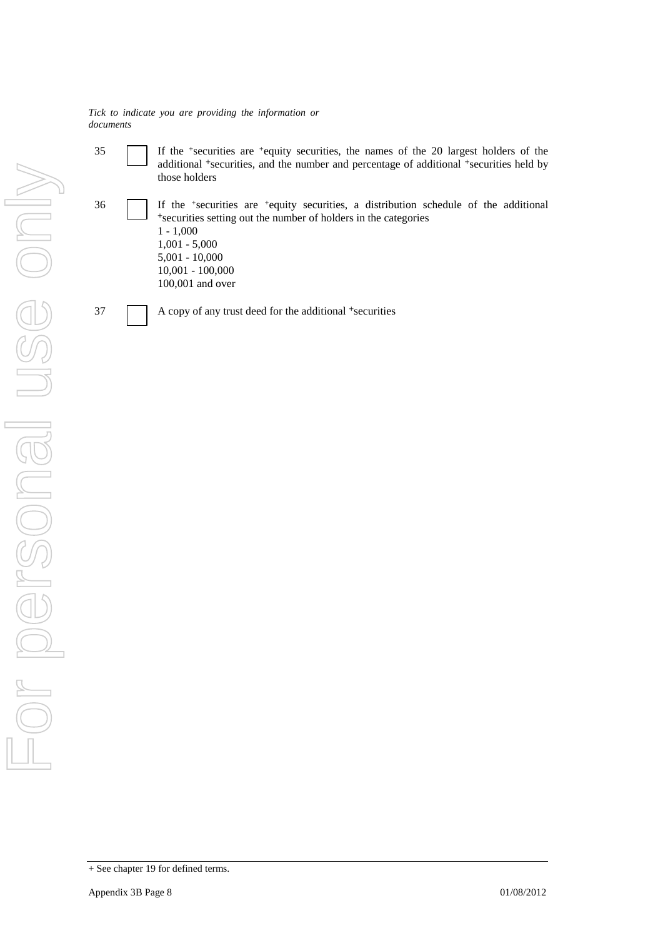35 If the <sup>+</sup> securities are <sup>+</sup>equity securities, the names of the 20 largest holders of the additional <sup>+</sup>securities, and the number and percentage of additional <sup>+</sup>securities held by those holders

36 If the <sup>+</sup> securities are <sup>+</sup>equity securities, a distribution schedule of the additional <sup>+</sup>securities setting out the number of holders in the categories

1 - 1,000 1,001 - 5,000 5,001 - 10,000 10,001 - 100,000 100,001 and over

 $37$  A copy of any trust deed for the additional  $\pm$ securities

*Tick to indicate you are providing the information or documents*

<sup>+</sup> See chapter 19 for defined terms.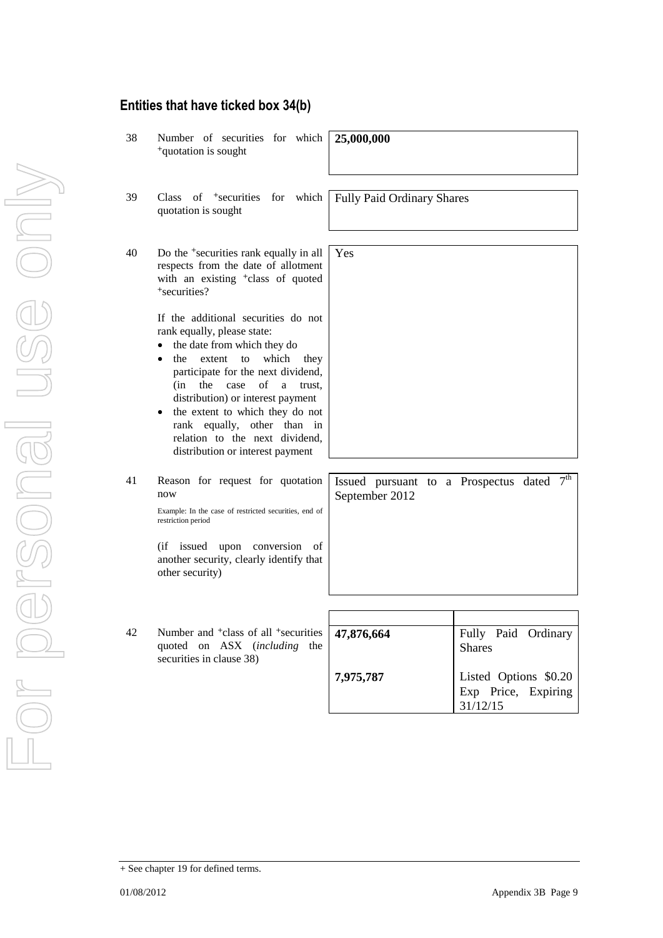#### **Entities that have ticked box 34(b)**

38 Number of securities for which <sup>+</sup>quotation is sought **25,000,000** 39 Class of <sup>+</sup>securities for which quotation is sought Fully Paid Ordinary Shares 40 Do the <sup>+</sup>securities rank equally in all respects from the date of allotment with an existing <sup>+</sup>class of quoted <sup>+</sup>securities? If the additional securities do not rank equally, please state: • the date from which they do the extent to which they participate for the next dividend, (in the case of a trust, distribution) or interest payment the extent to which they do not rank equally, other than in relation to the next dividend, distribution or interest payment Yes 41 Reason for request for quotation now Example: In the case of restricted securities, end of restriction period (if issued upon conversion of another security, clearly identify that other security) Issued pursuant to a Prospectus dated  $7<sup>th</sup>$ September 2012 42 Number and <sup>+</sup>class of all <sup>+</sup>securities quoted on ASX (*including* the securities in clause 38) **47,876,664 7,975,787** Fully Paid Ordinary Shares Listed Options \$0.20 Exp Price, Expiring 31/12/15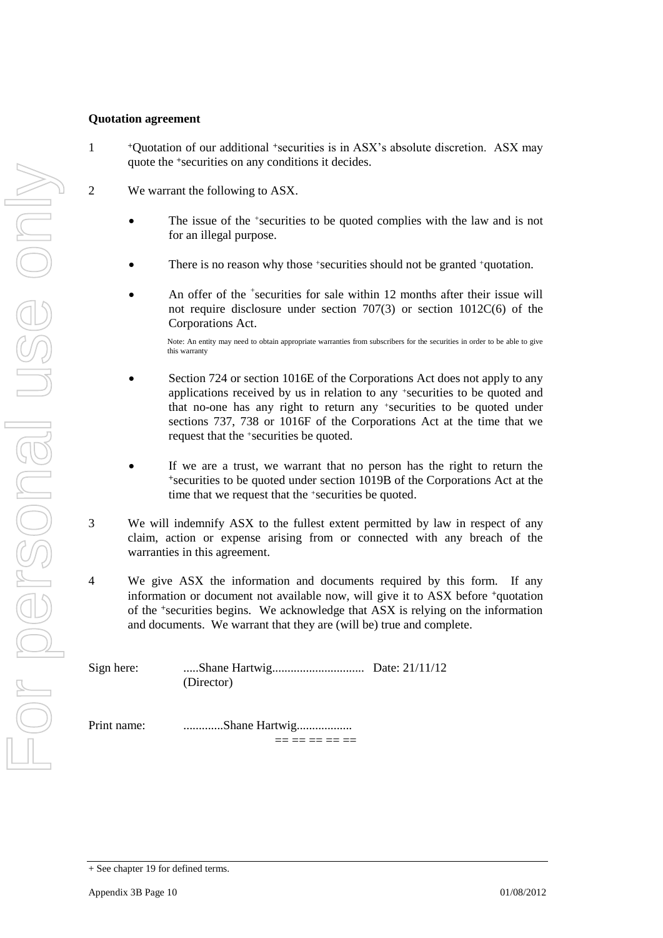#### **Quotation agreement**

1

- <sup>+</sup>Quotation of our additional +securities is in ASX's absolute discretion. ASX may quote the +securities on any conditions it decides.
- 2 We warrant the following to ASX.
	- The issue of the +securities to be quoted complies with the law and is not for an illegal purpose.
	- There is no reason why those +securities should not be granted +quotation.
	- An offer of the <sup>+</sup>securities for sale within 12 months after their issue will not require disclosure under section 707(3) or section 1012C(6) of the Corporations Act.

Note: An entity may need to obtain appropriate warranties from subscribers for the securities in order to be able to give this warranty

- Section 724 or section 1016E of the Corporations Act does not apply to any applications received by us in relation to any +securities to be quoted and that no-one has any right to return any +securities to be quoted under sections 737, 738 or 1016F of the Corporations Act at the time that we request that the +securities be quoted.
- If we are a trust, we warrant that no person has the right to return the <sup>+</sup>securities to be quoted under section 1019B of the Corporations Act at the time that we request that the +securities be quoted.
- 3 We will indemnify ASX to the fullest extent permitted by law in respect of any claim, action or expense arising from or connected with any breach of the warranties in this agreement.
- 4 We give ASX the information and documents required by this form. If any information or document not available now, will give it to ASX before +quotation of the +securities begins. We acknowledge that ASX is relying on the information and documents. We warrant that they are (will be) true and complete.

Sign here: .....Shane Hartwig.............................. Date: 21/11/12 (Director)

Print name: .............Shane Hartwig..................

 $=$   $=$   $=$   $=$   $=$   $=$ 

<sup>+</sup> See chapter 19 for defined terms.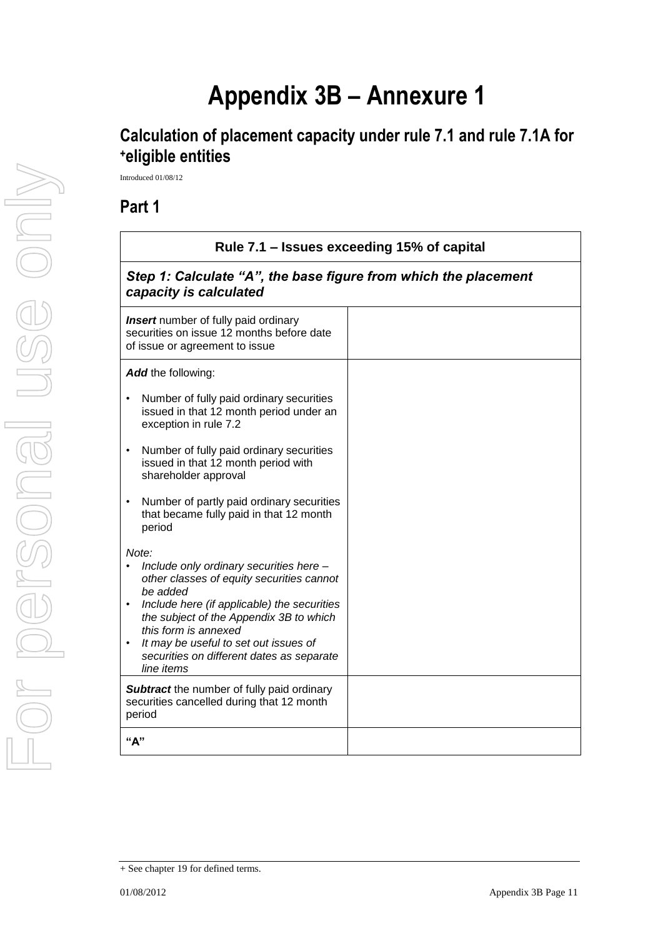# **Appendix 3B – Annexure 1**

# **Calculation of placement capacity under rule 7.1 and rule 7.1A for <sup>+</sup>eligible entities**

Introduced 01/08/12

### **Part 1**

| Rule 7.1 - Issues exceeding 15% of capital                                                                                                                                                                                                                                                                                      |                                                                 |  |  |  |
|---------------------------------------------------------------------------------------------------------------------------------------------------------------------------------------------------------------------------------------------------------------------------------------------------------------------------------|-----------------------------------------------------------------|--|--|--|
| capacity is calculated                                                                                                                                                                                                                                                                                                          | Step 1: Calculate "A", the base figure from which the placement |  |  |  |
| <b>Insert</b> number of fully paid ordinary<br>securities on issue 12 months before date<br>of issue or agreement to issue                                                                                                                                                                                                      |                                                                 |  |  |  |
| Add the following:                                                                                                                                                                                                                                                                                                              |                                                                 |  |  |  |
| Number of fully paid ordinary securities<br>issued in that 12 month period under an<br>exception in rule 7.2                                                                                                                                                                                                                    |                                                                 |  |  |  |
| Number of fully paid ordinary securities<br>issued in that 12 month period with<br>shareholder approval                                                                                                                                                                                                                         |                                                                 |  |  |  |
| Number of partly paid ordinary securities<br>that became fully paid in that 12 month<br>period                                                                                                                                                                                                                                  |                                                                 |  |  |  |
| Note:<br>Include only ordinary securities here -<br>other classes of equity securities cannot<br>be added<br>Include here (if applicable) the securities<br>the subject of the Appendix 3B to which<br>this form is annexed<br>It may be useful to set out issues of<br>securities on different dates as separate<br>line items |                                                                 |  |  |  |
| <b>Subtract</b> the number of fully paid ordinary<br>securities cancelled during that 12 month<br>period                                                                                                                                                                                                                        |                                                                 |  |  |  |
| "А"                                                                                                                                                                                                                                                                                                                             |                                                                 |  |  |  |

<sup>+</sup> See chapter 19 for defined terms.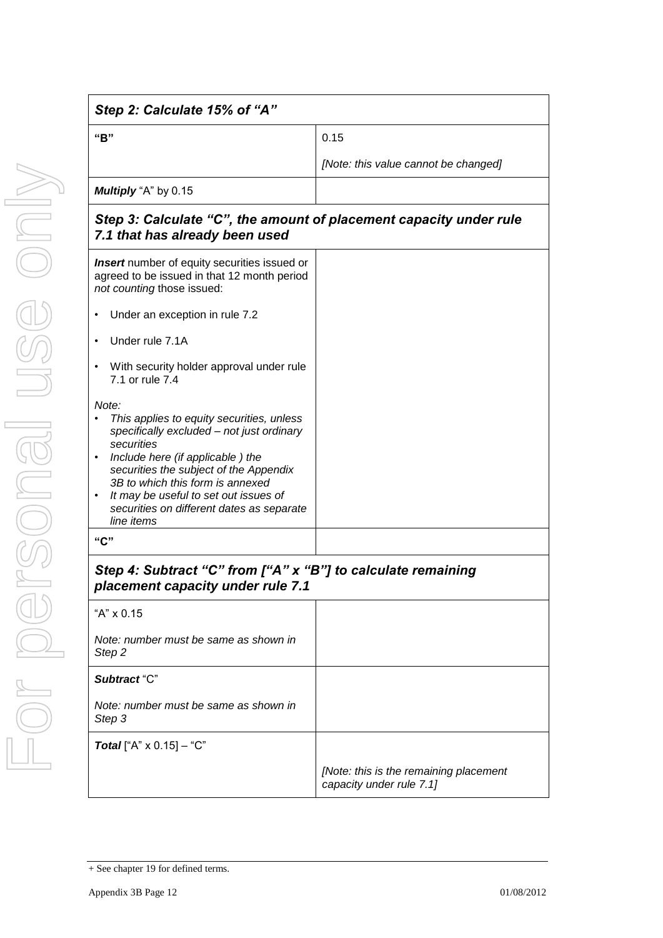| Step 2: Calculate 15% of "A"                                                                                                                                                                                                                                                                                                                          |                                                                    |
|-------------------------------------------------------------------------------------------------------------------------------------------------------------------------------------------------------------------------------------------------------------------------------------------------------------------------------------------------------|--------------------------------------------------------------------|
| "B"                                                                                                                                                                                                                                                                                                                                                   | 0.15                                                               |
|                                                                                                                                                                                                                                                                                                                                                       | [Note: this value cannot be changed]                               |
| Multiply "A" by 0.15                                                                                                                                                                                                                                                                                                                                  |                                                                    |
| Step 3: Calculate "C", the amount of placement capacity under rule<br>7.1 that has already been used                                                                                                                                                                                                                                                  |                                                                    |
| <b>Insert</b> number of equity securities issued or<br>agreed to be issued in that 12 month period<br>not counting those issued:                                                                                                                                                                                                                      |                                                                    |
| Under an exception in rule 7.2                                                                                                                                                                                                                                                                                                                        |                                                                    |
| Under rule 7.1A                                                                                                                                                                                                                                                                                                                                       |                                                                    |
| With security holder approval under rule<br>$\bullet$<br>7.1 or rule 7.4                                                                                                                                                                                                                                                                              |                                                                    |
| Note:<br>This applies to equity securities, unless<br>specifically excluded - not just ordinary<br>securities<br>Include here (if applicable) the<br>$\bullet$<br>securities the subject of the Appendix<br>3B to which this form is annexed<br>It may be useful to set out issues of<br>٠<br>securities on different dates as separate<br>line items |                                                                    |
| "C"                                                                                                                                                                                                                                                                                                                                                   |                                                                    |
| Step 4: Subtract "C" from ["A" x "B"] to calculate remaining<br>placement capacity under rule 7.1                                                                                                                                                                                                                                                     |                                                                    |
| "A" x 0.15                                                                                                                                                                                                                                                                                                                                            |                                                                    |
| Note: number must be same as shown in<br>Step <sub>2</sub>                                                                                                                                                                                                                                                                                            |                                                                    |
| Subtract "C"                                                                                                                                                                                                                                                                                                                                          |                                                                    |
| Note: number must be same as shown in<br>Step 3                                                                                                                                                                                                                                                                                                       |                                                                    |
| <b>Total</b> ["A" $\times$ 0.15] - "C"                                                                                                                                                                                                                                                                                                                |                                                                    |
|                                                                                                                                                                                                                                                                                                                                                       | [Note: this is the remaining placement<br>capacity under rule 7.1] |

<sup>+</sup> See chapter 19 for defined terms.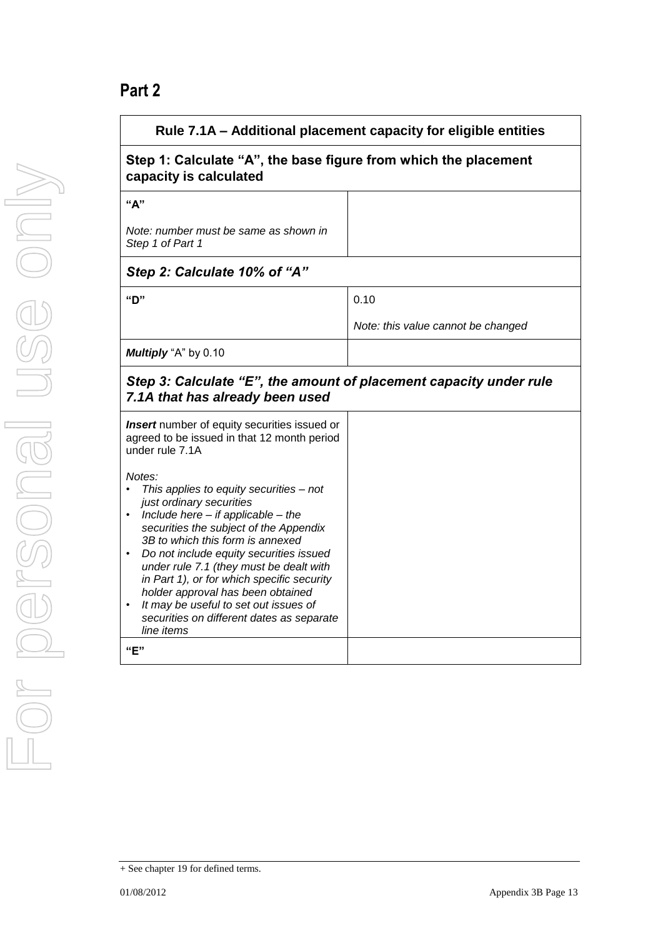# **Part 2**

| Rule 7.1A - Additional placement capacity for eligible entities                                                                                                                                                                                                                                                                                                                                                                                                                                        |                                    |  |  |
|--------------------------------------------------------------------------------------------------------------------------------------------------------------------------------------------------------------------------------------------------------------------------------------------------------------------------------------------------------------------------------------------------------------------------------------------------------------------------------------------------------|------------------------------------|--|--|
| Step 1: Calculate "A", the base figure from which the placement<br>capacity is calculated                                                                                                                                                                                                                                                                                                                                                                                                              |                                    |  |  |
| "A"                                                                                                                                                                                                                                                                                                                                                                                                                                                                                                    |                                    |  |  |
| Note: number must be same as shown in<br>Step 1 of Part 1                                                                                                                                                                                                                                                                                                                                                                                                                                              |                                    |  |  |
| Step 2: Calculate 10% of "A"                                                                                                                                                                                                                                                                                                                                                                                                                                                                           |                                    |  |  |
| "D"                                                                                                                                                                                                                                                                                                                                                                                                                                                                                                    | 0.10                               |  |  |
|                                                                                                                                                                                                                                                                                                                                                                                                                                                                                                        | Note: this value cannot be changed |  |  |
| Multiply "A" by 0.10                                                                                                                                                                                                                                                                                                                                                                                                                                                                                   |                                    |  |  |
| Step 3: Calculate "E", the amount of placement capacity under rule<br>7.1A that has already been used                                                                                                                                                                                                                                                                                                                                                                                                  |                                    |  |  |
| <b>Insert</b> number of equity securities issued or<br>agreed to be issued in that 12 month period<br>under rule 7.1A                                                                                                                                                                                                                                                                                                                                                                                  |                                    |  |  |
| Notes:<br>This applies to equity securities - not<br>just ordinary securities<br>Include here $-$ if applicable $-$ the<br>$\bullet$<br>securities the subject of the Appendix<br>3B to which this form is annexed<br>Do not include equity securities issued<br>under rule 7.1 (they must be dealt with<br>in Part 1), or for which specific security<br>holder approval has been obtained<br>It may be useful to set out issues of<br>securities on different dates as separate<br>line items<br>"E" |                                    |  |  |

<sup>+</sup> See chapter 19 for defined terms.